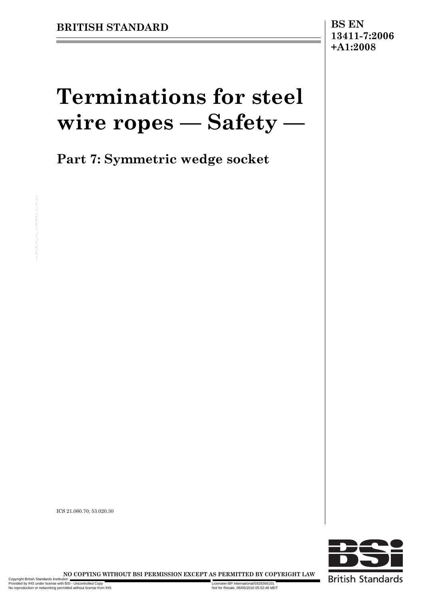## **13411-7:2006 +A1:2008**

# **Terminations for steel wire ropes — Safety —**

**Part 7: Symmetric wedge socket**

ICS 21.060.70; 53.020.30



NO COPYING WITHOUT BSI PERMISSION EXCEPT AS PERMITTED BY COPYRIGHT LAW ICS 21.000.76; \$3.020.30<br>
ICS 21.000.76; \$3.020.30<br>
NO COPYING WITHOUT BSI PERMISSION EXCEPT AS PERMITTED BY COP<br>
CONSULTAIN AND MANUSCRIPTION OF THE RESISTION OF THE RESISTION OF THE RESISTION OF THE RESISTION OF THE RESI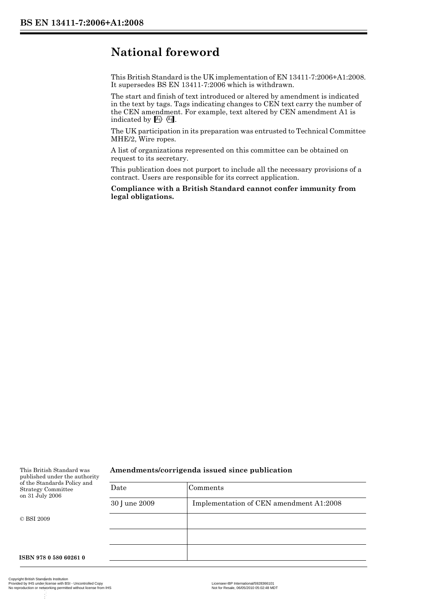## **National foreword**

This British Standard is the UK implementation of EN 13411-7:2006+A1:2008. It supersedes BS EN 13411-7:2006 which is withdrawn.

The start and finish of text introduced or altered by amendment is indicated in the text by tags. Tags indicating changes to CEN text carry the number of the CEN amendment. For example, text altered by CEN amendment A1 is indicated by  $A_1$   $A_2$ .

The UK participation in its preparation was entrusted to Technical Committee MHE/2, Wire ropes.

A list of organizations represented on this committee can be obtained on request to its secretary.

This publication does not purport to include all the necessary provisions of a contract. Users are responsible for its correct application.

**Compliance with a British Standard cannot confer immunity from legal obligations.**

#### This British Standard was published under the authority of the Standards Policy and Strategy Committee on 31 July 2006

#### © BSI 2009

**Amendments/corrigenda issued since publication**

| w | Date         | Comments                                |
|---|--------------|-----------------------------------------|
|   | 30 June 2009 | Implementation of CEN amendment A1:2008 |
|   |              |                                         |
|   |              |                                         |
|   |              |                                         |
|   |              |                                         |

**ISBN 978 0 580 60261 0**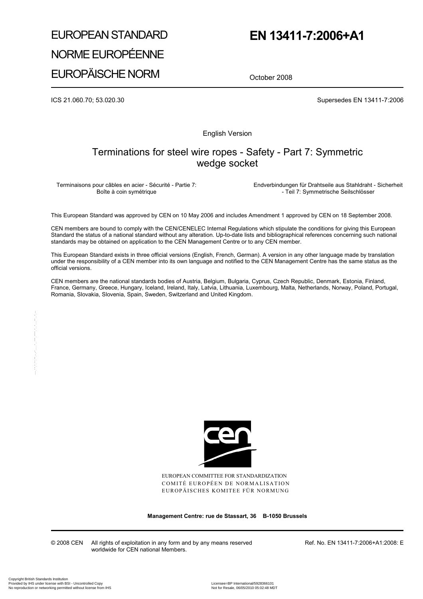## EUROPEAN STANDARD NORME EUROPÉENNE EUROPÄISCHE NORM

## **EN 13411-7:2006+A1**

October 2008

ICS 21.060.70; 53.020.30 Supersedes EN 13411-7:2006

English Version

## Terminations for steel wire ropes - Safety - Part 7: Symmetric wedge socket

Terminaisons pour câbles en acier - Sécurité - Partie 7: Boîte à coin symétrique

 Endverbindungen für Drahtseile aus Stahldraht - Sicherheit - Teil 7: Symmetrische Seilschlösser

This European Standard was approved by CEN on 10 May 2006 and includes Amendment 1 approved by CEN on 18 September 2008.

CEN members are bound to comply with the CEN/CENELEC Internal Regulations which stipulate the conditions for giving this European Standard the status of a national standard without any alteration. Up-to-date lists and bibliographical references concerning such national standards may be obtained on application to the CEN Management Centre or to any CEN member.

This European Standard exists in three official versions (English, French, German). A version in any other language made by translation under the responsibility of a CEN member into its own language and notified to the CEN Management Centre has the same status as the official versions.

CEN members are the national standards bodies of Austria, Belgium, Bulgaria, Cyprus, Czech Republic, Denmark, Estonia, Finland, France, Germany, Greece, Hungary, Iceland, Ireland, Italy, Latvia, Lithuania, Luxembourg, Malta, Netherlands, Norway, Poland, Portugal, Romania, Slovakia, Slovenia, Spain, Sweden, Switzerland and United Kingdom.



EUROPEAN COMMITTEE FOR STANDARDIZATION COMITÉ EUROPÉEN DE NORMALISATION EUROPÄISCHES KOMITEE FÜR NORMUNG

**Management Centre: rue de Stassart, 36 B-1050 Brussels** 

© 2008 CEN All rights of exploitation in any form and by any means reserved worldwide for CEN national Members.

Ref. No. EN 13411-7:2006+A1:2008: E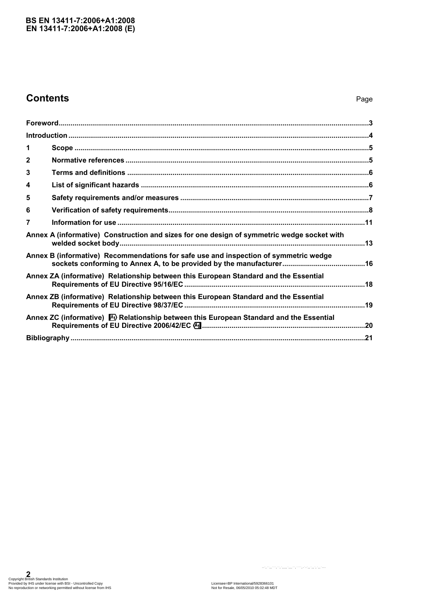#### **EN 13411-7:2006+A1:2008 (E) BS EN 13411-7:2006+A1:2008**

## **Contents** Page

| 1           |                                                                                            |
|-------------|--------------------------------------------------------------------------------------------|
| $\mathbf 2$ |                                                                                            |
| 3           |                                                                                            |
| 4           |                                                                                            |
| 5           |                                                                                            |
| 6           |                                                                                            |
| 7           |                                                                                            |
|             | Annex A (informative) Construction and sizes for one design of symmetric wedge socket with |
|             | Annex B (informative) Recommendations for safe use and inspection of symmetric wedge       |
|             | Annex ZA (informative) Relationship between this European Standard and the Essential       |
|             | Annex ZB (informative) Relationship between this European Standard and the Essential       |
|             | Annex ZC (informative) M) Relationship between this European Standard and the Essential    |
|             |                                                                                            |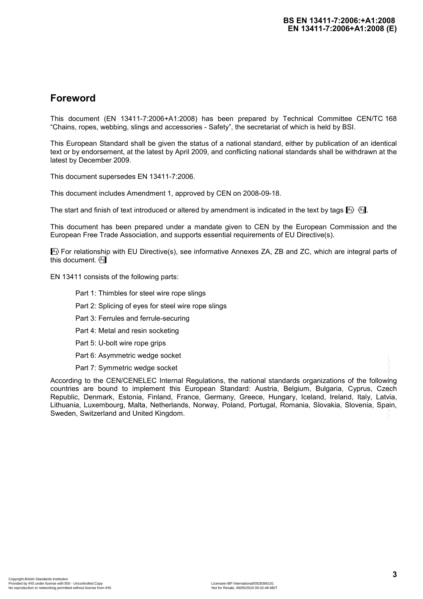## **Foreword**

This document (EN 13411-7:2006+A1:2008) has been prepared by Technical Committee CEN/TC 168 "Chains, ropes, webbing, slings and accessories - Safety", the secretariat of which is held by BSI.

This European Standard shall be given the status of a national standard, either by publication of an identical text or by endorsement, at the latest by April 2009, and conflicting national standards shall be withdrawn at the latest by December 2009.

This document supersedes EN 13411-7:2006.

This document includes Amendment 1, approved by CEN on 2008-09-18.

The start and finish of text introduced or altered by amendment is indicated in the text by tags  $\mathbb{F}_1$ .

This document has been prepared under a mandate given to CEN by the European Commission and the European Free Trade Association, and supports essential requirements of EU Directive(s).

 $\ket{\mathbb{A}}$  For relationship with EU Directive(s), see informative Annexes ZA, ZB and ZC, which are integral parts of this document.  $\sqrt{41}$ 

EN 13411 consists of the following parts:

- Part 1: Thimbles for steel wire rope slings
- Part 2: Splicing of eyes for steel wire rope slings
- Part 3: Ferrules and ferrule-securing
- Part 4: Metal and resin socketing
- Part 5: U-bolt wire rope grips
- Part 6: Asymmetric wedge socket
- Part 7: Symmetric wedge socket

According to the CEN/CENELEC Internal Regulations, the national standards organizations of the following countries are bound to implement this European Standard: Austria, Belgium, Bulgaria, Cyprus, Czech Republic, Denmark, Estonia, Finland, France, Germany, Greece, Hungary, Iceland, Ireland, Italy, Latvia, Lithuania, Luxembourg, Malta, Netherlands, Norway, Poland, Portugal, Romania, Slovakia, Slovenia, Spain, Sweden, Switzerland and United Kingdom. Part 7. Symmetric wedge socket<br>
According to the CEN/CENELEC Internal Regulations, the national standards organizations of the following<br>
countries are bound to implement this European Standard: Austral, Belgium, Bulgaria,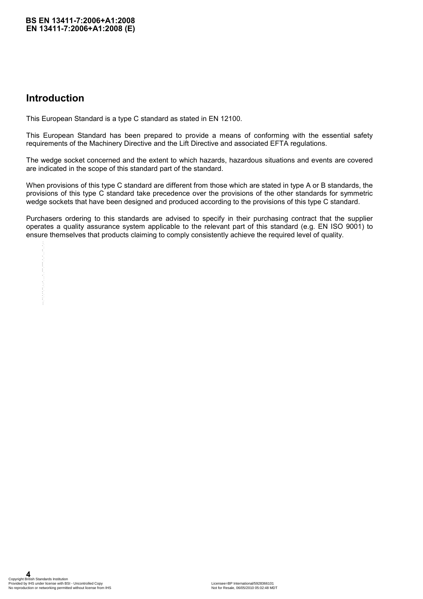## **Introduction**

This European Standard is a type C standard as stated in EN 12100.

This European Standard has been prepared to provide a means of conforming with the essential safety requirements of the Machinery Directive and the Lift Directive and associated EFTA regulations.

The wedge socket concerned and the extent to which hazards, hazardous situations and events are covered are indicated in the scope of this standard part of the standard.

When provisions of this type C standard are different from those which are stated in type A or B standards, the provisions of this type C standard take precedence over the provisions of the other standards for symmetric wedge sockets that have been designed and produced according to the provisions of this type C standard.

Purchasers ordering to this standards are advised to specify in their purchasing contract that the supplier operates a quality assurance system applicable to the relevant part of this standard (e.g. EN ISO 9001) to ensure themselves that products claiming to comply consistently achieve the required level of quality.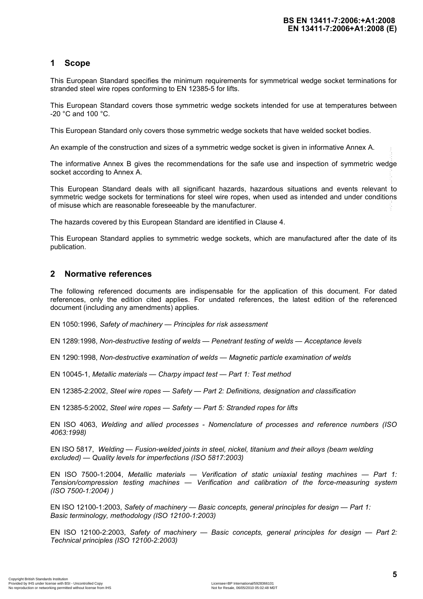#### **1 Scope**

This European Standard specifies the minimum requirements for symmetrical wedge socket terminations for stranded steel wire ropes conforming to EN 12385-5 for lifts.

This European Standard covers those symmetric wedge sockets intended for use at temperatures between -20 °C and 100 °C.

This European Standard only covers those symmetric wedge sockets that have welded socket bodies.

An example of the construction and sizes of a symmetric wedge socket is given in informative Annex A.

The informative Annex B gives the recommendations for the safe use and inspection of symmetric wedge socket according to Annex A.

This European Standard deals with all significant hazards, hazardous situations and events relevant to symmetric wedge sockets for terminations for steel wire ropes, when used as intended and under conditions of misuse which are reasonable foreseeable by the manufacturer.

The hazards covered by this European Standard are identified in Clause 4.

This European Standard applies to symmetric wedge sockets, which are manufactured after the date of its publication.

#### **2 Normative references**

The following referenced documents are indispensable for the application of this document. For dated references, only the edition cited applies. For undated references, the latest edition of the referenced document (including any amendments) applies.

EN 1050:1996, *Safety of machinery* — *Principles for risk assessment* 

EN 1289:1998, *Non-destructive testing of welds* — *Penetrant testing of welds* — *Acceptance levels* 

EN 1290:1998, *Non-destructive examination of welds* — *Magnetic particle examination of welds* 

EN 10045-1, *Metallic materials* — *Charpy impact test* — *Part 1: Test method* 

EN 12385-2:2002, *Steel wire ropes* — *Safety* — *Part 2: Definitions, designation and classification* 

EN 12385-5:2002, *Steel wire ropes* — *Safety* — *Part 5: Stranded ropes for lifts* 

EN ISO 4063, *Welding and allied processes - Nomenclature of processes and reference numbers (ISO 4063:1998)* 

EN ISO 5817, *Welding* — *Fusion-welded joints in steel, nickel, titanium and their alloys (beam welding excluded)* — *Quality levels for imperfections (ISO 5817:2003)* 

EN ISO 7500-1:2004, *Metallic materials* — *Verification of static uniaxial testing machines* — *Part 1: Tension/compression testing machines* — *Verification and calibration of the force-measuring system (ISO 7500-1:2004) )*  All walling to the Universidable and the sets of a symbol of the state and interesting of the state and interesting to the state and interesting of the state and interesting to the state and interesting to the state and i

EN ISO 12100-1:2003, *Safety of machinery* — *Basic concepts, general principles for design* — *Part 1: Basic terminology, methodology (ISO 12100-1:2003)* 

EN ISO 12100-2:2003, *Safety of machinery* — *Basic concepts, general principles for design* — *Part 2: Technical principles (ISO 12100-2:2003)*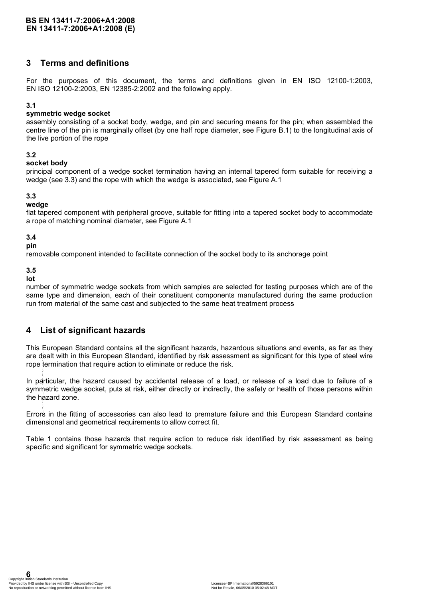#### **3 Terms and definitions**

For the purposes of this document, the terms and definitions given in EN ISO 12100-1:2003, EN ISO 12100-2:2003, EN 12385-2:2002 and the following apply.

#### **3.1**

#### **symmetric wedge socket**

assembly consisting of a socket body, wedge, and pin and securing means for the pin; when assembled the centre line of the pin is marginally offset (by one half rope diameter, see Figure B.1) to the longitudinal axis of the live portion of the rope

#### **3.2**

#### **socket body**

principal component of a wedge socket termination having an internal tapered form suitable for receiving a wedge (see 3.3) and the rope with which the wedge is associated, see Figure A.1

#### **3.3**

#### **wedge**

flat tapered component with peripheral groove, suitable for fitting into a tapered socket body to accommodate a rope of matching nominal diameter, see Figure A.1

#### **3.4**

#### **pin**

removable component intended to facilitate connection of the socket body to its anchorage point

**3.5** 

**lot** 

number of symmetric wedge sockets from which samples are selected for testing purposes which are of the same type and dimension, each of their constituent components manufactured during the same production run from material of the same cast and subjected to the same heat treatment process

### **4 List of significant hazards**

This European Standard contains all the significant hazards, hazardous situations and events, as far as they are dealt with in this European Standard, identified by risk assessment as significant for this type of steel wire rope termination that require action to eliminate or reduce the risk.

In particular, the hazard caused by accidental release of a load, or release of a load due to failure of a symmetric wedge socket, puts at risk, either directly or indirectly, the safety or health of those persons within the hazard zone. are dealt with in this European Standard, identified by risk assessment as signif<br>rope termination that require action to eliminate or reduce the risk.<br>In particular, the hazard caused by accidental release of a load, or r

Errors in the fitting of accessories can also lead to premature failure and this European Standard contains dimensional and geometrical requirements to allow correct fit.

Table 1 contains those hazards that require action to reduce risk identified by risk assessment as being specific and significant for symmetric wedge sockets.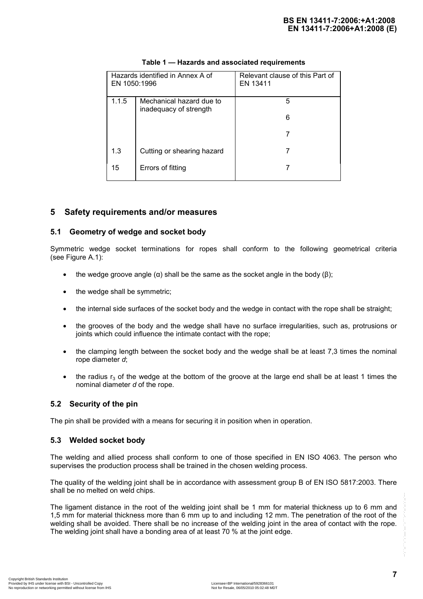| EN 1050:1996 | Hazards identified in Annex A of                   | Relevant clause of this Part of<br>EN 13411 |
|--------------|----------------------------------------------------|---------------------------------------------|
| 1.1.5        | Mechanical hazard due to<br>inadequacy of strength | 5<br>6                                      |
|              |                                                    |                                             |
|              |                                                    |                                             |
| 1.3          | Cutting or shearing hazard                         |                                             |
| 15           | Errors of fitting                                  |                                             |

#### **Table 1 — Hazards and associated requirements**

#### **5 Safety requirements and/or measures**

#### **5.1 Geometry of wedge and socket body**

Symmetric wedge socket terminations for ropes shall conform to the following geometrical criteria (see Figure A.1):

- the wedge groove angle  $(\alpha)$  shall be the same as the socket angle in the body ( $\beta$ );
- the wedge shall be symmetric;
- the internal side surfaces of the socket body and the wedge in contact with the rope shall be straight;
- the grooves of the body and the wedge shall have no surface irregularities, such as, protrusions or joints which could influence the intimate contact with the rope;
- the clamping length between the socket body and the wedge shall be at least 7,3 times the nominal rope diameter *d*;
- the radius  $r_3$  of the wedge at the bottom of the groove at the large end shall be at least 1 times the nominal diameter *d* of the rope.

#### **5.2 Security of the pin**

The pin shall be provided with a means for securing it in position when in operation.

#### **5.3 Welded socket body**

The welding and allied process shall conform to one of those specified in EN ISO 4063. The person who supervises the production process shall be trained in the chosen welding process.

The quality of the welding joint shall be in accordance with assessment group B of EN ISO 5817:2003. There shall be no melted on weld chips.

The ligament distance in the root of the welding joint shall be 1 mm for material thickness up to 6 mm and 1,5 mm for material thickness more than 6 mm up to and including 12 mm. The penetration of the root of the welding shall be avoided. There shall be no increase of the welding joint in the area of contact with the rope. The welding joint shall have a bonding area of at least 70 % at the joint edge. The ligament distance in the root of the welding joint shall be 1 mm for material thickness up to 6 mm and<br>1,5 mm for material thickness more than 6 mm up to and including 12 mm. The penetration of the root of the<br>welding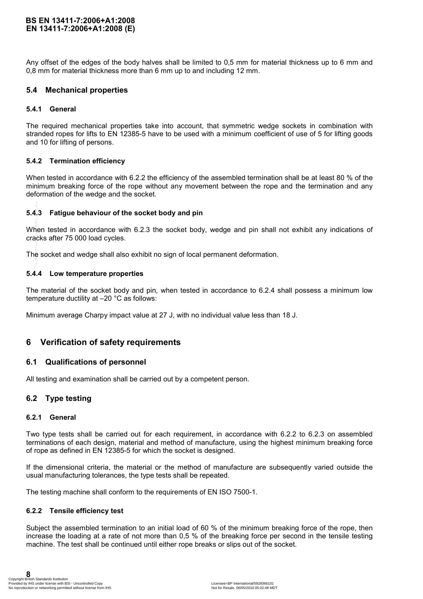#### **EN 13411-7:2006+A1:2008 (E) BS EN 13411-7:2006+A1:2008**

Any offset of the edges of the body halves shall be limited to 0,5 mm for material thickness up to 6 mm and 0,8 mm for material thickness more than 6 mm up to and including 12 mm.

#### **5.4 Mechanical properties**

#### **5.4.1 General**

The required mechanical properties take into account, that symmetric wedge sockets in combination with stranded ropes for lifts to EN 12385-5 have to be used with a minimum coefficient of use of 5 for lifting goods and 10 for lifting of persons.

#### **5.4.2 Termination efficiency**

When tested in accordance with 6.2.2 the efficiency of the assembled termination shall be at least 80 % of the minimum breaking force of the rope without any movement between the rope and the termination and any deformation of the wedge and the socket.

#### **5.4.3 Fatigue behaviour of the socket body and pin**

When tested in accordance with 6.2.3 the socket body, wedge and pin shall not exhibit any indications of cracks after 75 000 load cycles.

The socket and wedge shall also exhibit no sign of local permanent deformation.

#### **5.4.4 Low temperature properties**

The material of the socket body and pin, when tested in accordance to 6.2.4 shall possess a minimum low temperature ductility at –20 °C as follows:

Minimum average Charpy impact value at 27 J, with no individual value less than 18 J.

### **6 Verification of safety requirements**

#### **6.1 Qualifications of personnel**

All testing and examination shall be carried out by a competent person.

#### **6.2 Type testing**

#### **6.2.1 General**

Two type tests shall be carried out for each requirement, in accordance with 6.2.2 to 6.2.3 on assembled terminations of each design, material and method of manufacture, using the highest minimum breaking force of rope as defined in EN 12385-5 for which the socket is designed. **5.4.3 Fatigue behaviour of the socket body and pin**<br>When tested in accordance with 6.2.3 the socket body, wedge and pin shall<br>cracks after 75 000 load cycles.<br>The socket and wedge shall also exhibit no sign of local perm

If the dimensional criteria, the material or the method of manufacture are subsequently varied outside the usual manufacturing tolerances, the type tests shall be repeated.

The testing machine shall conform to the requirements of EN ISO 7500-1.

#### **6.2.2 Tensile efficiency test**

Subject the assembled termination to an initial load of 60 % of the minimum breaking force of the rope, then increase the loading at a rate of not more than 0,5 % of the breaking force per second in the tensile testing machine. The test shall be continued until either rope breaks or slips out of the socket.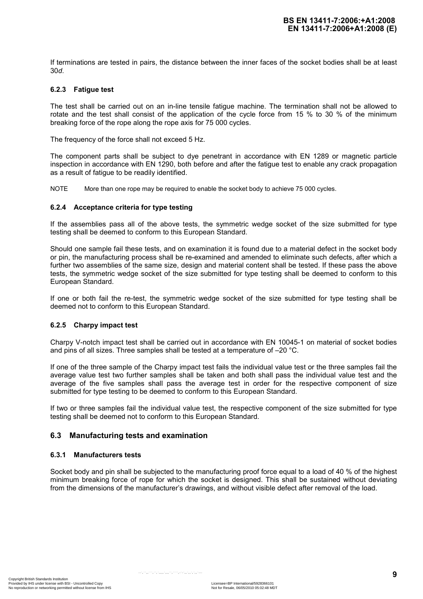If terminations are tested in pairs, the distance between the inner faces of the socket bodies shall be at least 30*d*.

#### **6.2.3 Fatigue test**

The test shall be carried out on an in-line tensile fatigue machine. The termination shall not be allowed to rotate and the test shall consist of the application of the cycle force from 15 % to 30 % of the minimum breaking force of the rope along the rope axis for 75 000 cycles.

The frequency of the force shall not exceed 5 Hz.

The component parts shall be subject to dye penetrant in accordance with EN 1289 or magnetic particle inspection in accordance with EN 1290, both before and after the fatigue test to enable any crack propagation as a result of fatigue to be readily identified.

NOTE More than one rope may be required to enable the socket body to achieve 75 000 cycles.

#### **6.2.4 Acceptance criteria for type testing**

If the assemblies pass all of the above tests, the symmetric wedge socket of the size submitted for type testing shall be deemed to conform to this European Standard.

Should one sample fail these tests, and on examination it is found due to a material defect in the socket body or pin, the manufacturing process shall be re-examined and amended to eliminate such defects, after which a further two assemblies of the same size, design and material content shall be tested. If these pass the above tests, the symmetric wedge socket of the size submitted for type testing shall be deemed to conform to this European Standard.

If one or both fail the re-test, the symmetric wedge socket of the size submitted for type testing shall be deemed not to conform to this European Standard.

#### **6.2.5 Charpy impact test**

Charpy V-notch impact test shall be carried out in accordance with EN 10045-1 on material of socket bodies and pins of all sizes. Three samples shall be tested at a temperature of –20 °C.

If one of the three sample of the Charpy impact test fails the individual value test or the three samples fail the average value test two further samples shall be taken and both shall pass the individual value test and the average of the five samples shall pass the average test in order for the respective component of size submitted for type testing to be deemed to conform to this European Standard.

If two or three samples fail the individual value test, the respective component of the size submitted for type testing shall be deemed not to conform to this European Standard.

#### **6.3 Manufacturing tests and examination**

#### **6.3.1 Manufacturers tests**

Socket body and pin shall be subjected to the manufacturing proof force equal to a load of 40 % of the highest minimum breaking force of rope for which the socket is designed. This shall be sustained without deviating from the dimensions of the manufacturer's drawings, and without visible defect after removal of the load.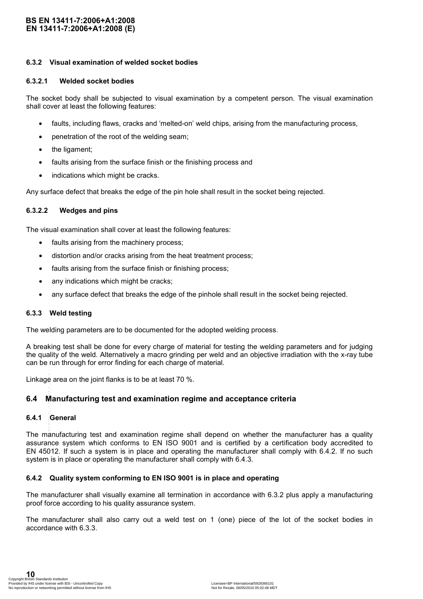#### **EN 13411-7:2006+A1:2008 (E) BS EN 13411-7:2006+A1:2008**

#### **6.3.2 Visual examination of welded socket bodies**

#### **6.3.2.1 Welded socket bodies**

The socket body shall be subjected to visual examination by a competent person. The visual examination shall cover at least the following features:

- faults, including flaws, cracks and 'melted-on' weld chips, arising from the manufacturing process,
- penetration of the root of the welding seam;
- the ligament;
- faults arising from the surface finish or the finishing process and
- indications which might be cracks.

Any surface defect that breaks the edge of the pin hole shall result in the socket being rejected.

#### **6.3.2.2 Wedges and pins**

The visual examination shall cover at least the following features:

- faults arising from the machinery process;
- distortion and/or cracks arising from the heat treatment process;
- faults arising from the surface finish or finishing process;
- any indications which might be cracks;
- any surface defect that breaks the edge of the pinhole shall result in the socket being rejected.

#### **6.3.3 Weld testing**

The welding parameters are to be documented for the adopted welding process.

A breaking test shall be done for every charge of material for testing the welding parameters and for judging the quality of the weld. Alternatively a macro grinding per weld and an objective irradiation with the x-ray tube can be run through for error finding for each charge of material.

Linkage area on the joint flanks is to be at least 70 %.

#### **6.4 Manufacturing test and examination regime and acceptance criteria**

#### **6.4.1 General**

The manufacturing test and examination regime shall depend on whether the manufacturer has a quality assurance system which conforms to EN ISO 9001 and is certified by a certification body accredited to EN 45012. If such a system is in place and operating the manufacturer shall comply with 6.4.2. If no such system is in place or operating the manufacturer shall comply with 6.4.3. Linkage area on the joint flanks is to be at least 70 %.<br>
6.4 Manufacturing test and examination regime and acceptance cr<br>
6.4.1 General<br>
The manufacturing test and examination regime shall depend on whether the<br>
assuranc

#### **6.4.2 Quality system conforming to EN ISO 9001 is in place and operating**

The manufacturer shall visually examine all termination in accordance with 6.3.2 plus apply a manufacturing proof force according to his quality assurance system.

The manufacturer shall also carry out a weld test on 1 (one) piece of the lot of the socket bodies in accordance with 6.3.3.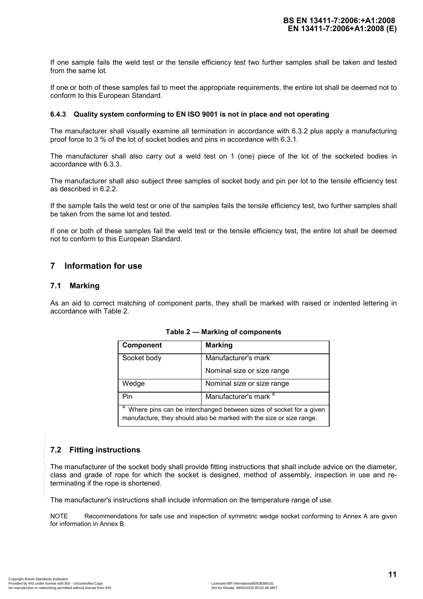If one sample fails the weld test or the tensile efficiency test two further samples shall be taken and tested from the same lot.

If one or both of these samples fail to meet the appropriate requirements, the entire lot shall be deemed not to conform to this European Standard.

#### **6.4.3 Quality system conforming to EN ISO 9001 is not in place and not operating**

The manufacturer shall visually examine all termination in accordance with 6.3.2 plus apply a manufacturing proof force to 3 % of the lot of socket bodies and pins in accordance with 6.3.1.

The manufacturer shall also carry out a weld test on 1 (one) piece of the lot of the socketed bodies in accordance with 6.3.3.

The manufacturer shall also subject three samples of socket body and pin per lot to the tensile efficiency test as described in 6.2.2.

If the sample fails the weld test or one of the samples fails the tensile efficiency test, two further samples shall be taken from the same lot and tested.

If one or both of these samples fail the weld test or the tensile efficiency test, the entire lot shall be deemed not to conform to this European Standard.

#### **7 Information for use**

#### **7.1 Marking**

As an aid to correct matching of component parts, they shall be marked with raised or indented lettering in accordance with Table 2.

| <b>Component</b> | <b>Marking</b>                                                                                                                             |
|------------------|--------------------------------------------------------------------------------------------------------------------------------------------|
| Socket body      | Manufacturer's mark                                                                                                                        |
|                  | Nominal size or size range                                                                                                                 |
| Wedge            | Nominal size or size range                                                                                                                 |
| Pin              | Manufacturer's mark <sup>a</sup>                                                                                                           |
| a                | Where pins can be interchanged between sizes of socket for a given<br>manufacture, they should also be marked with the size or size range. |

**Table 2 — Marking of components** 

#### **7.2 Fitting instructions**

The manufacturer of the socket body shall provide fitting instructions that shall include advice on the diameter, class and grade of rope for which the socket is designed, method of assembly, inspection in use and reterminating if the rope is shortened. 7.2 Fitting instructions<br>
The manufacturer of the socket body shall provide fitting instructions that<br>
class and grade of rope for which the socket is designed, method of<br>
terminating if the rope is shortened.<br>
The manufa

The manufacturer's instructions shall include information on the temperature range of use.

NOTE Recommendations for safe use and inspection of symmetric wedge socket conforming to Annex A are given for information in Annex B.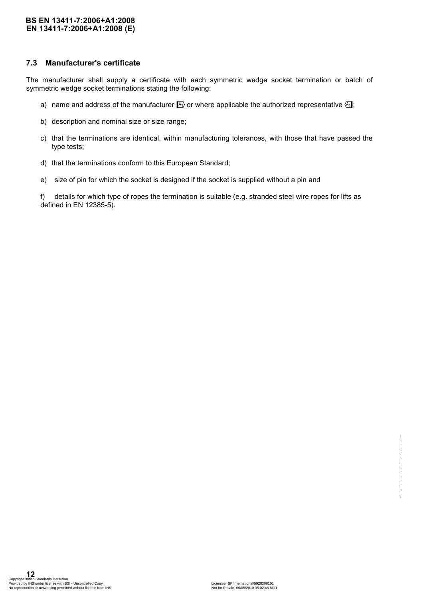#### **EN 13411-7:2006+A1:2008 (E) BS EN 13411-7:2006+A1:2008**

#### **7.3 Manufacturer's certificate**

The manufacturer shall supply a certificate with each symmetric wedge socket termination or batch of symmetric wedge socket terminations stating the following:

- a) name and address of the manufacturer  $\mathbb{A}_1$  or where applicable the authorized representative  $\mathbb{A}_1$ ;
- b) description and nominal size or size range;
- c) that the terminations are identical, within manufacturing tolerances, with those that have passed the type tests;
- d) that the terminations conform to this European Standard;
- e) size of pin for which the socket is designed if the socket is supplied without a pin and

f) details for which type of ropes the termination is suitable (e.g. stranded steel wire ropes for lifts as defined in EN 12385-5).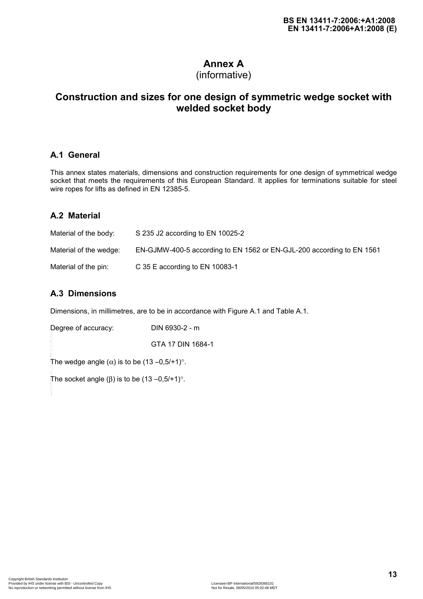## **Annex A**

## (informative)

## **Construction and sizes for one design of symmetric wedge socket with welded socket body**

## **A.1 General**

This annex states materials, dimensions and construction requirements for one design of symmetrical wedge socket that meets the requirements of this European Standard. It applies for terminations suitable for steel wire ropes for lifts as defined in EN 12385-5.

## **A.2 Material**

| Material of the body:  | S 235 J2 according to EN 10025-2                                      |
|------------------------|-----------------------------------------------------------------------|
| Material of the wedge: | EN-GJMW-400-5 according to EN 1562 or EN-GJL-200 according to EN 1561 |
| Material of the pin:   | C 35 E according to EN 10083-1                                        |

## **A.3 Dimensions**

Dimensions, in millimetres, are to be in accordance with Figure A.1 and Table A.1.

| Copyright British Standards Institution<br>Provided by IHS under license with BSI - Uncontrolled Copy<br>No reproduction or networking permitted without license from IHS | Licensee=BP International/5928366101<br>Not for Resale, 06/05/2010 05:02:48 MDT |
|---------------------------------------------------------------------------------------------------------------------------------------------------------------------------|---------------------------------------------------------------------------------|
|                                                                                                                                                                           |                                                                                 |
|                                                                                                                                                                           |                                                                                 |
|                                                                                                                                                                           |                                                                                 |
|                                                                                                                                                                           |                                                                                 |
|                                                                                                                                                                           |                                                                                 |
|                                                                                                                                                                           |                                                                                 |
|                                                                                                                                                                           |                                                                                 |
|                                                                                                                                                                           |                                                                                 |
|                                                                                                                                                                           |                                                                                 |
|                                                                                                                                                                           |                                                                                 |
|                                                                                                                                                                           |                                                                                 |
|                                                                                                                                                                           |                                                                                 |
|                                                                                                                                                                           |                                                                                 |
| The socket angle ( $\beta$ ) is to be (13 -0,5/+1)°.                                                                                                                      |                                                                                 |
| The wedge angle $(\alpha)$ is to be $(13-0.5/1)^\circ$ .                                                                                                                  |                                                                                 |
|                                                                                                                                                                           | GTA 17 DIN 1684-1                                                               |
| Degree of accuracy:                                                                                                                                                       | DIN 6930-2 - m                                                                  |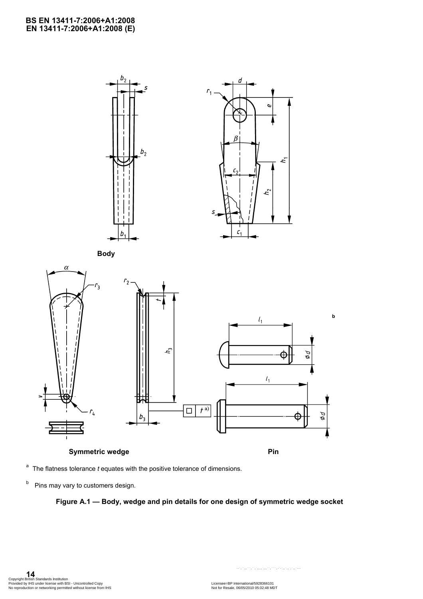

<sup>a</sup> The flatness tolerance *t* equates with the positive tolerance of dimensions.

<sup>b</sup> Pins may vary to customers design.

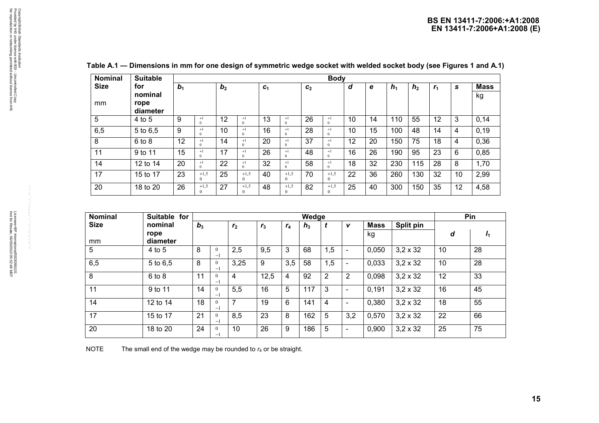| <b>Nominal</b> | <b>Suitable</b> |                |                      |                |                      |                |                      |                | <b>Body</b>        |    |    |                |                |                |    |             |
|----------------|-----------------|----------------|----------------------|----------------|----------------------|----------------|----------------------|----------------|--------------------|----|----|----------------|----------------|----------------|----|-------------|
| <b>Size</b>    | for             | b <sub>1</sub> |                      | b <sub>2</sub> |                      | c <sub>1</sub> |                      | c <sub>2</sub> |                    | d  | е  | h <sub>1</sub> | h <sub>2</sub> | r <sub>1</sub> | s  | <b>Mass</b> |
|                | nominal         |                |                      |                |                      |                |                      |                |                    |    |    |                |                |                |    | kg          |
| mm             | rope            |                |                      |                |                      |                |                      |                |                    |    |    |                |                |                |    |             |
|                | diameter        |                |                      |                |                      |                |                      |                |                    |    |    |                |                |                |    |             |
| 5              | 4 to 5          | 9              | $+1$<br>$\Omega$     | 12             | $+1$<br>$\mathbf{0}$ | 13             | $+1$<br>$\mathbf{0}$ | 26             | $+1$<br>$\Omega$   | 10 | 14 | 110            | 55             | 12             | 3  | 0,14        |
| 6,5            | 5 to 6,5        | 9              | $+1$<br>$\Omega$     | 10             | $+1$<br>$\Omega$     | 16             | $+1$<br>$\theta$     | 28             | $+1$<br>$\Omega$   | 10 | 15 | 100            | 48             | 14             | 4  | 0, 19       |
| 8              | $6$ to $8$      | 12             | $+1$<br>$\mathbf{0}$ | 14             | $+1$<br>$\mathbf{0}$ | 20             | $+1$<br>$\mathbf{0}$ | 37             | $+1$<br>$\bf{0}$   | 12 | 20 | 150            | 75             | 18             | 4  | 0,36        |
| 11             | 9 to 11         | 15             | $+1$<br>$\theta$     | 17             | $+1$<br>$\theta$     | 26             | $+1$<br>$\mathbf{0}$ | 48             | $+1$<br>$\Omega$   | 16 | 26 | 190            | 95             | 23             | 6  | 0,85        |
| 14             | 12 to 14        | 20             | $+1$<br>$\Omega$     | 22             | $+1$<br>$\mathbf{0}$ | 32             | $+1$<br>$\theta$     | 58             | $+1$<br>$\Omega$   | 18 | 32 | 230            | 115            | 28             | 8  | 1,70        |
| 17             | 15 to 17        | 23             | $+1,5$               | 25             | $+1,5$<br>$\Omega$   | 40             | $+1,5$<br>$\Omega$   | 70             | $+1,5$<br>$\theta$ | 22 | 36 | 260            | 130            | 32             | 10 | 2,99        |
| 20             | 18 to 20        | 26             | $+1,5$               | 27             | $+1,5$<br>$\Omega$   | 48             | $+1,5$<br>$\Omega$   | 82             | $+1,5$<br>$\Omega$ | 25 | 40 | 300            | 150            | 35             | 12 | 4,58        |

| Table A.1 — Dimensions in mm for one design of symmetric wedge socket with welded socket body (see Figures 1 and A.1) |
|-----------------------------------------------------------------------------------------------------------------------|
|-----------------------------------------------------------------------------------------------------------------------|

| <b>Nominal</b> | Suitable for |       |                           |                |                |                | Wedge |     |                          |             |                 |    | Pin            |
|----------------|--------------|-------|---------------------------|----------------|----------------|----------------|-------|-----|--------------------------|-------------|-----------------|----|----------------|
| <b>Size</b>    | nominal      | $b_3$ |                           | r <sub>2</sub> | r <sub>3</sub> | r <sub>4</sub> | $h_3$ |     | V                        | <b>Mass</b> | Split pin       |    |                |
|                | rope         |       |                           |                |                |                |       |     |                          | kg          |                 | d  | I <sub>1</sub> |
| mm             | diameter     |       |                           |                |                |                |       |     |                          |             |                 |    |                |
| 5              | 4 to 5       | 8     | $\theta$<br>$-\mathbf{l}$ | 2,5            | 9,5            | 3              | 68    | 1,5 | $\overline{\phantom{0}}$ | 0,050       | $3,2 \times 32$ | 10 | 28             |
| 6,5            | 5 to 6,5     | 8     | $\theta$<br>$-1$          | 3,25           | 9              | 3,5            | 58    | , 5 |                          | 0,033       | $3,2 \times 32$ | 10 | 28             |
| 8              | $6$ to $8$   | 11    | $\theta$<br>$^{-1}$       | 4              | 12,5           | 4              | 92    | 2   | 2                        | 0,098       | $3,2 \times 32$ | 12 | 33             |
| 11             | 9 to 11      | 14    | $\mathbf{0}$<br>$^{-1}$   | 5,5            | 16             | 5              | 117   | 3   | $\overline{\phantom{0}}$ | 0,191       | $3,2 \times 32$ | 16 | 45             |
| 14             | 12 to 14     | 18    | $\theta$<br>$^{-1}$       | ⇁              | 19             | 6              | 141   | 4   | $\overline{\phantom{0}}$ | 0,380       | $3,2 \times 32$ | 18 | 55             |
| 17             | 15 to 17     | 21    | $\theta$<br>$^{-1}$       | 8,5            | 23             | 8              | 162   | 5   | 3,2                      | 0,570       | $3,2 \times 32$ | 22 | 66             |
| 20             | 18 to 20     | 24    | $\mathbf{0}$<br>$-1$      | 10             | 26             | 9              | 186   | 5   | $\overline{\phantom{0}}$ | 0,900       | $3,2 \times 32$ | 25 | 75             |

NOTE The small end of the wedge may be rounded to  $r_4$  or be straight.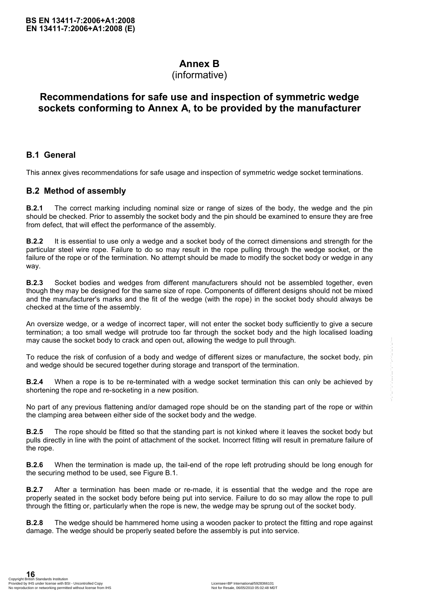## **Annex B**

## (informative)

## **Recommendations for safe use and inspection of symmetric wedge sockets conforming to Annex A, to be provided by the manufacturer**

## **B.1 General**

This annex gives recommendations for safe usage and inspection of symmetric wedge socket terminations.

## **B.2 Method of assembly**

**B.2.1** The correct marking including nominal size or range of sizes of the body, the wedge and the pin should be checked. Prior to assembly the socket body and the pin should be examined to ensure they are free from defect, that will effect the performance of the assembly.

**B.2.2** It is essential to use only a wedge and a socket body of the correct dimensions and strength for the particular steel wire rope. Failure to do so may result in the rope pulling through the wedge socket, or the failure of the rope or of the termination. No attempt should be made to modify the socket body or wedge in any way.

**B.2.3** Socket bodies and wedges from different manufacturers should not be assembled together, even though they may be designed for the same size of rope. Components of different designs should not be mixed and the manufacturer's marks and the fit of the wedge (with the rope) in the socket body should always be checked at the time of the assembly.

An oversize wedge, or a wedge of incorrect taper, will not enter the socket body sufficiently to give a secure termination; a too small wedge will protrude too far through the socket body and the high localised loading may cause the socket body to crack and open out, allowing the wedge to pull through.

To reduce the risk of confusion of a body and wedge of different sizes or manufacture, the socket body, pin and wedge should be secured together during storage and transport of the termination.

**B.2.4** When a rope is to be re-terminated with a wedge socket termination this can only be achieved by shortening the rope and re-socketing in a new position.

No part of any previous flattening and/or damaged rope should be on the standing part of the rope or within the clamping area between either side of the socket body and the wedge.

**B.2.5** The rope should be fitted so that the standing part is not kinked where it leaves the socket body but pulls directly in line with the point of attachment of the socket. Incorrect fitting will result in premature failure of the rope. may cause the socket body to crack and open out, allowing the wedge to pull through.<br>To reduce the risk of confusion of a body and wedge of different tizes or manufacture, the socket body, pin<br>and wedge should be secured

**B.2.6** When the termination is made up, the tail-end of the rope left protruding should be long enough for the securing method to be used, see Figure B.1.

**B.2.7** After a termination has been made or re-made, it is essential that the wedge and the rope are properly seated in the socket body before being put into service. Failure to do so may allow the rope to pull through the fitting or, particularly when the rope is new, the wedge may be sprung out of the socket body.

**B.2.8** The wedge should be hammered home using a wooden packer to protect the fitting and rope against damage. The wedge should be properly seated before the assembly is put into service.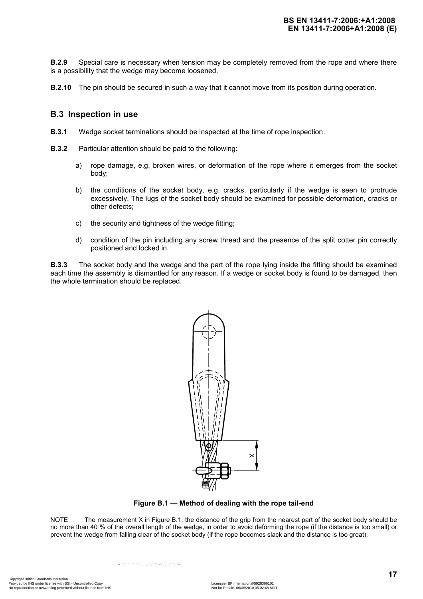**B.2.9** Special care is necessary when tension may be completely removed from the rope and where there is a possibility that the wedge may become loosened.

**B.2.10** The pin should be secured in such a way that it cannot move from its position during operation.

#### **B.3 Inspection in use**

- **B.3.1** Wedge socket terminations should be inspected at the time of rope inspection.
- **B.3.2** Particular attention should be paid to the following:
	- a) rope damage, e.g. broken wires, or deformation of the rope where it emerges from the socket body;
	- b) the conditions of the socket body, e.g. cracks, particularly if the wedge is seen to protrude excessively. The lugs of the socket body should be examined for possible deformation, cracks or other defects;
	- c) the security and tightness of the wedge fitting;
	- d) condition of the pin including any screw thread and the presence of the split cotter pin correctly positioned and locked in.

**B.3.3** The socket body and the wedge and the part of the rope lying inside the fitting should be examined each time the assembly is dismantled for any reason. If a wedge or socket body is found to be damaged, then the whole termination should be replaced.



**Figure B.1 — Method of dealing with the rope tail-end** 

NOTE The measurement X in Figure B.1, the distance of the grip from the nearest part of the socket body should be no more than 40 % of the overall length of the wedge, in order to avoid deforming the rope (if the distance is too small) or prevent the wedge from falling clear of the socket body (if the rope becomes slack and the distance is too great).

Copyright British Standards Institution<br>Provided by IHS under license with BSI - Uncontrolled Copy<br>No reproduction or networking permitted without license from IHS Note and the Standard Copyright Standard Mor<br>No for Resale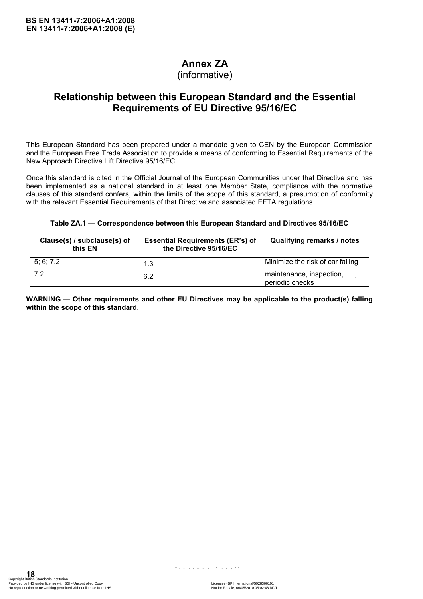## **Annex ZA**

(informative)

## **Relationship between this European Standard and the Essential Requirements of EU Directive 95/16/EC**

This European Standard has been prepared under a mandate given to CEN by the European Commission and the European Free Trade Association to provide a means of conforming to Essential Requirements of the New Approach Directive Lift Directive 95/16/EC.

Once this standard is cited in the Official Journal of the European Communities under that Directive and has been implemented as a national standard in at least one Member State, compliance with the normative clauses of this standard confers, within the limits of the scope of this standard, a presumption of conformity with the relevant Essential Requirements of that Directive and associated EFTA regulations.

#### **Table ZA.1 — Correspondence between this European Standard and Directives 95/16/EC**

| Clause(s) / subclause(s) of<br>this EN | <b>Essential Requirements (ER's) of</b><br>the Directive 95/16/EC | Qualifying remarks / notes                    |
|----------------------------------------|-------------------------------------------------------------------|-----------------------------------------------|
| 5; 6; 7.2                              | 1.3                                                               | Minimize the risk of car falling              |
| 7.2                                    | 6.2                                                               | maintenance, inspection, ,<br>periodic checks |

**WARNING — Other requirements and other EU Directives may be applicable to the product(s) falling within the scope of this standard.**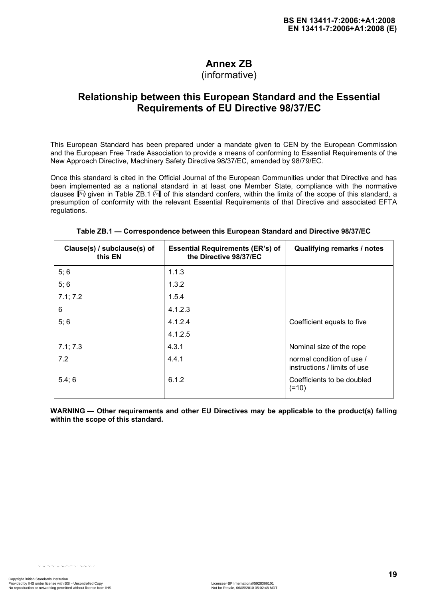## **Annex ZB**

## (informative)

## **Relationship between this European Standard and the Essential Requirements of EU Directive 98/37/EC**

This European Standard has been prepared under a mandate given to CEN by the European Commission and the European Free Trade Association to provide a means of conforming to Essential Requirements of the New Approach Directive, Machinery Safety Directive 98/37/EC, amended by 98/79/EC.

Once this standard is cited in the Official Journal of the European Communities under that Directive and has been implemented as a national standard in at least one Member State, compliance with the normative clauses  $\mathbb{A}$  given in Table ZB.1  $\mathbb{A}$  of this standard confers, within the limits of the scope of this standard, a presumption of conformity with the relevant Essential Requirements of that Directive and associated EFTA regulations.

| Clause(s) / subclause(s) of<br>this EN | <b>Essential Requirements (ER's) of</b><br>the Directive 98/37/EC | <b>Qualifying remarks / notes</b>                         |
|----------------------------------------|-------------------------------------------------------------------|-----------------------------------------------------------|
| 5; 6                                   | 1.1.3                                                             |                                                           |
| 5; 6                                   | 1.3.2                                                             |                                                           |
| 7.1; 7.2                               | 1.5.4                                                             |                                                           |
| 6                                      | 4.1.2.3                                                           |                                                           |
| 5; 6                                   | 4.1.2.4                                                           | Coefficient equals to five                                |
|                                        | 4.1.2.5                                                           |                                                           |
| 7.1; 7.3                               | 4.3.1                                                             | Nominal size of the rope                                  |
| 7.2                                    | 4.4.1                                                             | normal condition of use /<br>instructions / limits of use |
| 5.4;6                                  | 6.1.2                                                             | Coefficients to be doubled<br>$(=10)$                     |

#### **Table ZB.1 — Correspondence between this European Standard and Directive 98/37/EC**

**WARNING — Other requirements and other EU Directives may be applicable to the product(s) falling within the scope of this standard.**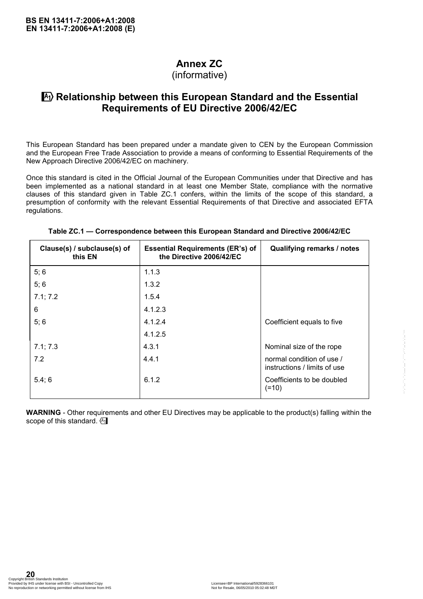## **Annex ZC**

(informative)

## $\vert$ **A<sub>1</sub>**) Relationship between this European Standard and the Essential **Requirements of EU Directive 2006/42/EC**

This European Standard has been prepared under a mandate given to CEN by the European Commission and the European Free Trade Association to provide a means of conforming to Essential Requirements of the New Approach Directive 2006/42/EC on machinery.

Once this standard is cited in the Official Journal of the European Communities under that Directive and has been implemented as a national standard in at least one Member State, compliance with the normative clauses of this standard given in Table ZC.1 confers, within the limits of the scope of this standard, a presumption of conformity with the relevant Essential Requirements of that Directive and associated EFTA regulations.

| Clause(s) / subclause(s) of<br>this EN | <b>Essential Requirements (ER's) of</b><br>the Directive 2006/42/EC | <b>Qualifying remarks / notes</b>                                                                                             |
|----------------------------------------|---------------------------------------------------------------------|-------------------------------------------------------------------------------------------------------------------------------|
| 5;6                                    | 1.1.3                                                               |                                                                                                                               |
| 5;6                                    | 1.3.2                                                               |                                                                                                                               |
| 7.1; 7.2                               | 1.5.4                                                               |                                                                                                                               |
| $\,6\,$                                | 4.1.2.3                                                             |                                                                                                                               |
| 5;6                                    | 4.1.2.4                                                             | Coefficient equals to five                                                                                                    |
|                                        | 4.1.2.5                                                             |                                                                                                                               |
| 7.1; 7.3                               | 4.3.1                                                               | Nominal size of the rope                                                                                                      |
| 7.2                                    | 4.4.1                                                               | normal condition of use /<br>instructions / limits of use                                                                     |
| 5.4;6                                  | 6.1.2                                                               | Coefficients to be doubled                                                                                                    |
|                                        |                                                                     | $(=10)$<br><b>WARNING</b> - Other requirements and other EU Directives may be applicable to the product(s) falling within the |
| scope of this standard. (A)            |                                                                     |                                                                                                                               |
|                                        |                                                                     |                                                                                                                               |
|                                        |                                                                     |                                                                                                                               |
|                                        |                                                                     |                                                                                                                               |
|                                        |                                                                     |                                                                                                                               |
|                                        |                                                                     |                                                                                                                               |
|                                        |                                                                     |                                                                                                                               |
|                                        |                                                                     |                                                                                                                               |
|                                        |                                                                     |                                                                                                                               |
|                                        |                                                                     |                                                                                                                               |

#### **Table ZC.1 — Correspondence between this European Standard and Directive 2006/42/EC**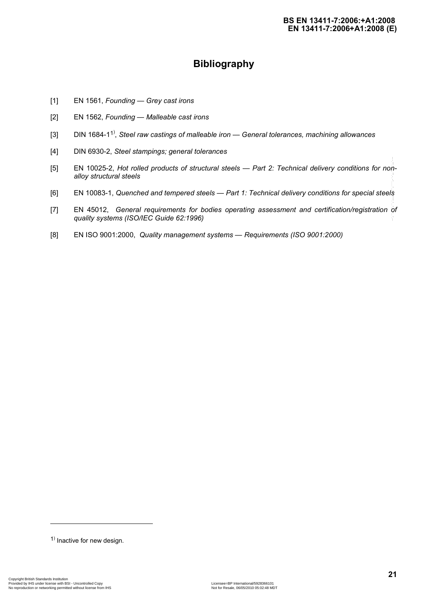## **Bibliography**

- [1] EN 1561, *Founding Grey cast irons*
- [2] EN 1562, *Founding Malleable cast irons*
- [3] DIN 1684-1<sup>1)</sup>, Steel raw castings of malleable iron General tolerances, machining allowances
- [4] DIN 6930-2, *Steel stampings; general tolerances*
- [5] EN 10025-2, *Hot rolled products of structural steels Part 2: Technical delivery conditions for nonalloy structural steels* [5] EM 10025-2, rist rolled products of structural steels  $-$  Part 2: Technical delivery conditions for not<br>
[5] EM 10035-1, Guenosi and tempered steels  $-$  Part 1: Technical delivery conditions for apecial steel<br>
[7] EM
	- [6] EN 10083-1, *Quenched and tempered steels Part 1: Technical delivery conditions for special steels*
	- [7] EN 45012, *General requirements for bodies operating assessment and certification/registration of quality systems (ISO/IEC Guide 62:1996)*
	- [8] EN ISO 9001:2000, *Quality management systems* — *Requirements (ISO 9001:2000)*

l

<sup>&</sup>lt;sup>1)</sup> Inactive for new design.